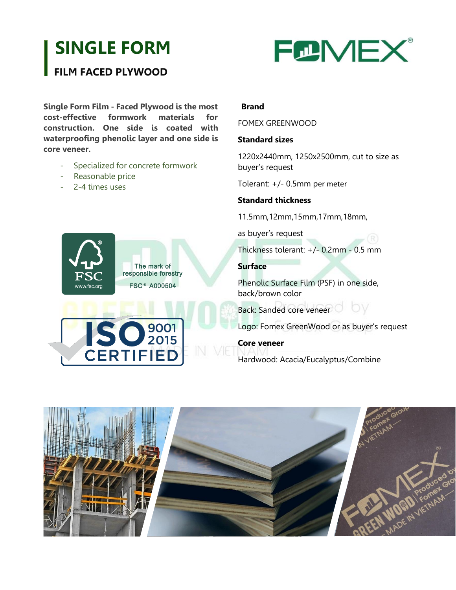# **SINGLE FORM**



### **FILM FACED PLYWOOD**

**Single Form Film - Faced Plywood is the most cost-effective formwork materials for construction. One side is coated with waterproofing phenolic layer and one side is core veneer.**

- Specialized for concrete formwork

**ISO** 2001

**CERTIFIED** 

The mark of responsible forestry **FSC**<sup>®</sup> A000504

- Reasonable price
- 2-4 times uses

www fsc org



FOMEX GREENWOOD

#### **Standard sizes**

1220x2440mm, 1250x2500mm, cut to size as buyer's request

Tolerant: +/- 0.5mm per meter

#### **Standard thickness**

11.5mm,12mm,15mm,17mm,18mm,

as buyer's request

Thickness tolerant: +/- 0.2mm - 0.5 mm

#### **Surface**

Phenolic Surface Film (PSF) in one side, back/brown color

Back: Sanded core veneer

Logo: Fomex GreenWood or as buyer's request

**Core veneer** Hardwood: Acacia/Eucalyptus/Combine